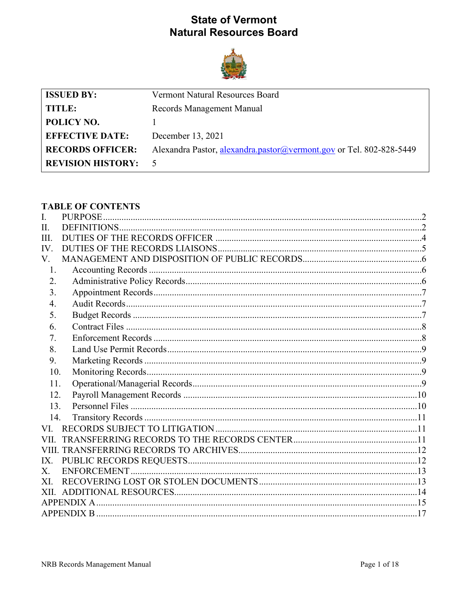# **State of Vermont Natural Resources Board**



| <b>ISSUED BY:</b>        | Vermont Natural Resources Board                                     |  |
|--------------------------|---------------------------------------------------------------------|--|
| TITLE:                   | Records Management Manual                                           |  |
| POLICY NO.               |                                                                     |  |
| <b>EFFECTIVE DATE:</b>   | December 13, 2021                                                   |  |
| <b>RECORDS OFFICER:</b>  | Alexandra Pastor, alexandra.pastor@vermont.gov or Tel. 802-828-5449 |  |
| <b>REVISION HISTORY:</b> |                                                                     |  |

# **TABLE OF CONTENTS**

| I.      |  |
|---------|--|
| Π.      |  |
| III.    |  |
| IV.     |  |
| V.      |  |
| 1.      |  |
| 2.      |  |
| 3.      |  |
| 4.      |  |
| 5.      |  |
| 6.      |  |
| 7.      |  |
| 8.      |  |
| 9.      |  |
| 10.     |  |
| 11.     |  |
| 12.     |  |
| 13.     |  |
| 14.     |  |
| VI.     |  |
| VII.    |  |
|         |  |
| IX.     |  |
| $X_{-}$ |  |
| XL      |  |
|         |  |
|         |  |
|         |  |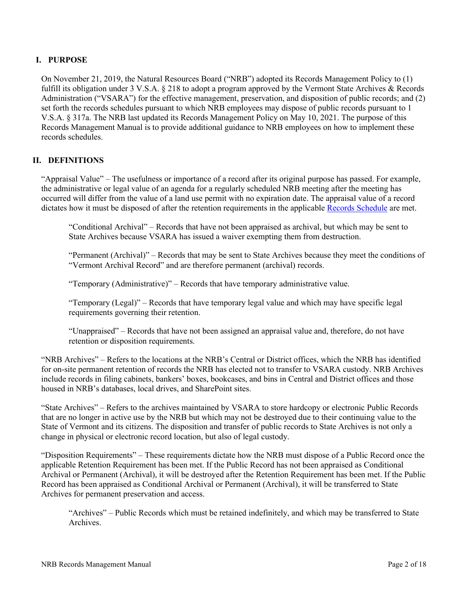# <span id="page-1-0"></span>**I. PURPOSE**

On November 21, 2019, the Natural Resources Board ("NRB") adopted its Records Management Policy to (1) fulfill its obligation under 3 V.S.A. § 218 to adopt a program approved by the Vermont State Archives & Records Administration ("VSARA") for the effective management, preservation, and disposition of public records; and (2) set forth the records schedules pursuant to which NRB employees may dispose of public records pursuant to 1 V.S.A. § 317a. The NRB last updated its Records Management Policy on May 10, 2021. The purpose of this Records Management Manual is to provide additional guidance to NRB employees on how to implement these records schedules.

# <span id="page-1-1"></span>**II. DEFINITIONS**

"Appraisal Value" – The usefulness or importance of a record after its original purpose has passed. For example, the administrative or legal value of an agenda for a regularly scheduled NRB meeting after the meeting has occurred will differ from the value of a land use permit with no expiration date. The appraisal value of a record dictates how it must be disposed of after the retention requirements in the applicable [Records Schedule](https://sos.vermont.gov/media/cyqnnm21/nrb_specific_record_schedule_current.pdf) are met.

"Conditional Archival" – Records that have not been appraised as archival, but which may be sent to State Archives because VSARA has issued a waiver exempting them from destruction.

"Permanent (Archival)" – Records that may be sent to State Archives because they meet the conditions of "Vermont Archival Record" and are therefore permanent (archival) records.

"Temporary (Administrative)" – Records that have temporary administrative value.

"Temporary (Legal)" – Records that have temporary legal value and which may have specific legal requirements governing their retention.

"Unappraised" – Records that have not been assigned an appraisal value and, therefore, do not have retention or disposition requirements.

"NRB Archives" – Refers to the locations at the NRB's Central or District offices, which the NRB has identified for on-site permanent retention of records the NRB has elected not to transfer to VSARA custody. NRB Archives include records in filing cabinets, bankers' boxes, bookcases, and bins in Central and District offices and those housed in NRB's databases, local drives, and SharePoint sites.

"State Archives" – Refers to the archives maintained by VSARA to store hardcopy or electronic Public Records that are no longer in active use by the NRB but which may not be destroyed due to their continuing value to the State of Vermont and its citizens. The disposition and transfer of public records to State Archives is not only a change in physical or electronic record location, but also of legal custody.

"Disposition Requirements" – These requirements dictate how the NRB must dispose of a Public Record once the applicable Retention Requirement has been met. If the Public Record has not been appraised as Conditional Archival or Permanent (Archival), it will be destroyed after the Retention Requirement has been met. If the Public Record has been appraised as Conditional Archival or Permanent (Archival), it will be transferred to State Archives for permanent preservation and access.

"Archives" – Public Records which must be retained indefinitely, and which may be transferred to State Archives.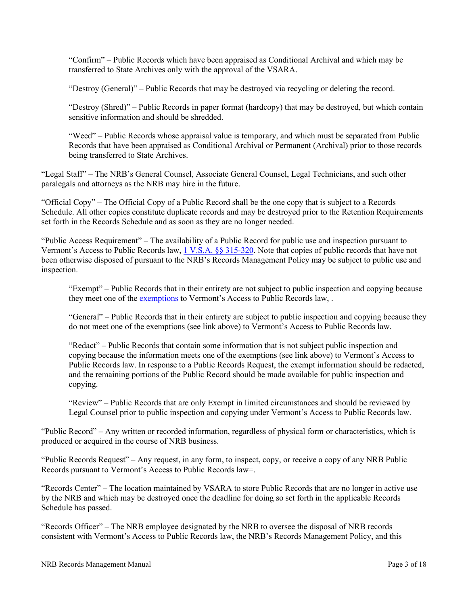"Confirm" – Public Records which have been appraised as Conditional Archival and which may be transferred to State Archives only with the approval of the VSARA.

"Destroy (General)" – Public Records that may be destroyed via recycling or deleting the record.

"Destroy (Shred)" – Public Records in paper format (hardcopy) that may be destroyed, but which contain sensitive information and should be shredded.

"Weed" – Public Records whose appraisal value is temporary, and which must be separated from Public Records that have been appraised as Conditional Archival or Permanent (Archival) prior to those records being transferred to State Archives.

"Legal Staff" – The NRB's General Counsel, Associate General Counsel, Legal Technicians, and such other paralegals and attorneys as the NRB may hire in the future.

"Official Copy" – The Official Copy of a Public Record shall be the one copy that is subject to a Records Schedule. All other copies constitute duplicate records and may be destroyed prior to the Retention Requirements set forth in the Records Schedule and as soon as they are no longer needed.

"Public Access Requirement" – The availability of a Public Record for public use and inspection pursuant to Vermont's Access to Public Records law, [1 V.S.A. §§ 315-320.](https://legislature.vermont.gov/statutes/chapter/01/005) Note that copies of public records that have not been otherwise disposed of pursuant to the NRB's Records Management Policy may be subject to public use and inspection.

"Exempt" – Public Records that in their entirety are not subject to public inspection and copying because they meet one of the [exemptions](https://legislature.vermont.gov/assets/Legislative-Reports/PRA-Exemption-List-by-Subject-2020.pdf) to Vermont's Access to Public Records law,.

"General" – Public Records that in their entirety are subject to public inspection and copying because they do not meet one of the exemptions (see link above) to Vermont's Access to Public Records law.

"Redact" – Public Records that contain some information that is not subject public inspection and copying because the information meets one of the exemptions (see link above) to Vermont's Access to Public Records law. In response to a Public Records Request, the exempt information should be redacted, and the remaining portions of the Public Record should be made available for public inspection and copying.

"Review" – Public Records that are only Exempt in limited circumstances and should be reviewed by Legal Counsel prior to public inspection and copying under Vermont's Access to Public Records law.

"Public Record" – Any written or recorded information, regardless of physical form or characteristics, which is produced or acquired in the course of NRB business.

"Public Records Request" – Any request, in any form, to inspect, copy, or receive a copy of any NRB Public Records pursuant to Vermont's Access to Public Records law=.

"Records Center" – The location maintained by VSARA to store Public Records that are no longer in active use by the NRB and which may be destroyed once the deadline for doing so set forth in the applicable Records Schedule has passed.

"Records Officer" – The NRB employee designated by the NRB to oversee the disposal of NRB records consistent with Vermont's Access to Public Records law, the NRB's Records Management Policy, and this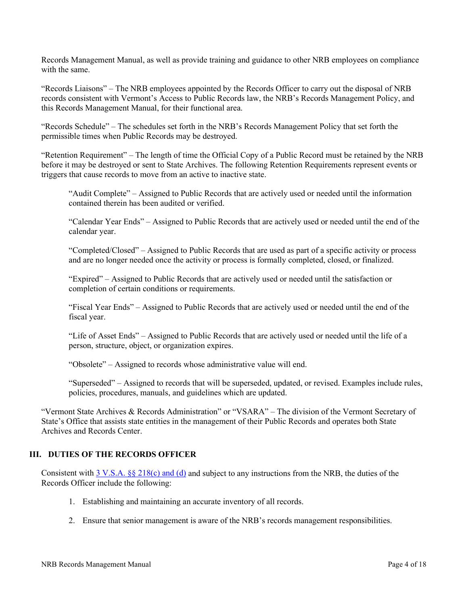Records Management Manual, as well as provide training and guidance to other NRB employees on compliance with the same.

"Records Liaisons" – The NRB employees appointed by the Records Officer to carry out the disposal of NRB records consistent with Vermont's Access to Public Records law, the NRB's Records Management Policy, and this Records Management Manual, for their functional area.

"Records Schedule" – The schedules set forth in the NRB's Records Management Policy that set forth the permissible times when Public Records may be destroyed.

"Retention Requirement" – The length of time the Official Copy of a Public Record must be retained by the NRB before it may be destroyed or sent to State Archives. The following Retention Requirements represent events or triggers that cause records to move from an active to inactive state.

"Audit Complete" – Assigned to Public Records that are actively used or needed until the information contained therein has been audited or verified.

"Calendar Year Ends" – Assigned to Public Records that are actively used or needed until the end of the calendar year.

"Completed/Closed" – Assigned to Public Records that are used as part of a specific activity or process and are no longer needed once the activity or process is formally completed, closed, or finalized.

"Expired" – Assigned to Public Records that are actively used or needed until the satisfaction or completion of certain conditions or requirements.

"Fiscal Year Ends" – Assigned to Public Records that are actively used or needed until the end of the fiscal year.

"Life of Asset Ends" – Assigned to Public Records that are actively used or needed until the life of a person, structure, object, or organization expires.

"Obsolete" – Assigned to records whose administrative value will end.

"Superseded" – Assigned to records that will be superseded, updated, or revised. Examples include rules, policies, procedures, manuals, and guidelines which are updated.

"Vermont State Archives & Records Administration" or "VSARA" – The division of the Vermont Secretary of State's Office that assists state entities in the management of their Public Records and operates both State Archives and Records Center.

### <span id="page-3-0"></span>**III. DUTIES OF THE RECORDS OFFICER**

Consistent with  $3$  V.S.A. §§ 218(c) and (d) and subject to any instructions from the NRB, the duties of the Records Officer include the following:

- 1. Establishing and maintaining an accurate inventory of all records.
- 2. Ensure that senior management is aware of the NRB's records management responsibilities.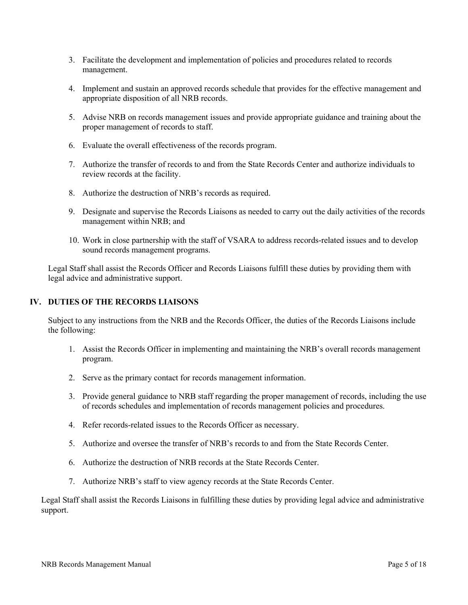- 3. Facilitate the development and implementation of policies and procedures related to records management.
- 4. Implement and sustain an approved records schedule that provides for the effective management and appropriate disposition of all NRB records.
- 5. Advise NRB on records management issues and provide appropriate guidance and training about the proper management of records to staff.
- 6. Evaluate the overall effectiveness of the records program.
- 7. Authorize the transfer of records to and from the State Records Center and authorize individuals to review records at the facility.
- 8. Authorize the destruction of NRB's records as required.
- 9. Designate and supervise the Records Liaisons as needed to carry out the daily activities of the records management within NRB; and
- 10. Work in close partnership with the staff of VSARA to address records-related issues and to develop sound records management programs.

Legal Staff shall assist the Records Officer and Records Liaisons fulfill these duties by providing them with legal advice and administrative support.

# <span id="page-4-0"></span>**IV. DUTIES OF THE RECORDS LIAISONS**

Subject to any instructions from the NRB and the Records Officer, the duties of the Records Liaisons include the following:

- 1. Assist the Records Officer in implementing and maintaining the NRB's overall records management program.
- 2. Serve as the primary contact for records management information.
- 3. Provide general guidance to NRB staff regarding the proper management of records, including the use of records schedules and implementation of records management policies and procedures.
- 4. Refer records-related issues to the Records Officer as necessary.
- 5. Authorize and oversee the transfer of NRB's records to and from the State Records Center.
- 6. Authorize the destruction of NRB records at the State Records Center.
- 7. Authorize NRB's staff to view agency records at the State Records Center.

Legal Staff shall assist the Records Liaisons in fulfilling these duties by providing legal advice and administrative support.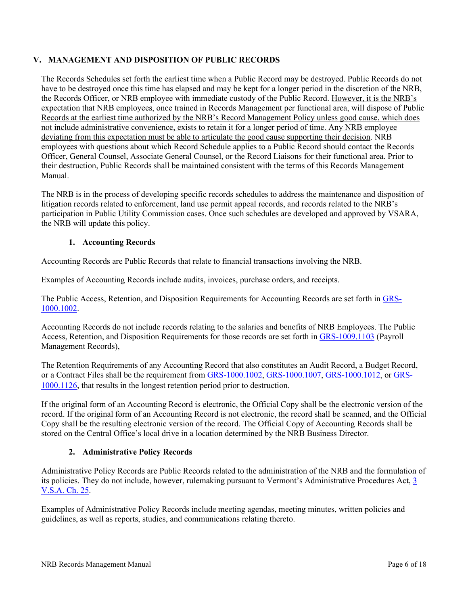# <span id="page-5-0"></span>**V. MANAGEMENT AND DISPOSITION OF PUBLIC RECORDS**

The Records Schedules set forth the earliest time when a Public Record may be destroyed. Public Records do not have to be destroyed once this time has elapsed and may be kept for a longer period in the discretion of the NRB, the Records Officer, or NRB employee with immediate custody of the Public Record. However, it is the NRB's expectation that NRB employees, once trained in Records Management per functional area, will dispose of Public Records at the earliest time authorized by the NRB's Record Management Policy unless good cause, which does not include administrative convenience, exists to retain it for a longer period of time. Any NRB employee deviating from this expectation must be able to articulate the good cause supporting their decision. NRB employees with questions about which Record Schedule applies to a Public Record should contact the Records Officer, General Counsel, Associate General Counsel, or the Record Liaisons for their functional area. Prior to their destruction, Public Records shall be maintained consistent with the terms of this Records Management Manual.

The NRB is in the process of developing specific records schedules to address the maintenance and disposition of litigation records related to enforcement, land use permit appeal records, and records related to the NRB's participation in Public Utility Commission cases. Once such schedules are developed and approved by VSARA, the NRB will update this policy.

# **1. Accounting Records**

<span id="page-5-1"></span>Accounting Records are Public Records that relate to financial transactions involving the NRB.

Examples of Accounting Records include audits, invoices, purchase orders, and receipts.

The Public Access, Retention, and Disposition Requirements for Accounting Records are set forth i[n GRS-](https://sos.vermont.gov/media/lpsggisr/grs-10001002_accounting.pdf)[1000.1002.](https://sos.vermont.gov/media/lpsggisr/grs-10001002_accounting.pdf)

Accounting Records do not include records relating to the salaries and benefits of NRB Employees. The Public Access, Retention, and Disposition Requirements for those records are set forth in [GRS-1009.1103](https://sos.vermont.gov/media/20shnjyc/grs-10091103_payrollrecords.pdf) (Payroll Management Records),

The Retention Requirements of any Accounting Record that also constitutes an Audit Record, a Budget Record, or a Contract Files shall be the requirement from [GRS-1000.1002,](https://sos.vermont.gov/media/lpsggisr/grs-10001002_accounting.pdf) [GRS-1000.1007,](https://sos.vermont.gov/media/x0losbrt/grs-10001007_auditing.pdf) [GRS-1000.1012,](https://sos.vermont.gov/media/o2mb3bga/grs-10001012_budgetrecords.pdf) or [GRS-](https://sos.vermont.gov/media/i4rfdit2/grs-10001126_contracting.pdf)[1000.1126,](https://sos.vermont.gov/media/i4rfdit2/grs-10001126_contracting.pdf) that results in the longest retention period prior to destruction.

If the original form of an Accounting Record is electronic, the Official Copy shall be the electronic version of the record. If the original form of an Accounting Record is not electronic, the record shall be scanned, and the Official Copy shall be the resulting electronic version of the record. The Official Copy of Accounting Records shall be stored on the Central Office's local drive in a location determined by the NRB Business Director.

# **2. Administrative Policy Records**

<span id="page-5-2"></span>Administrative Policy Records are Public Records related to the administration of the NRB and the formulation of its policies. They do not include, however, rulemaking pursuant to Vermont's Administrative Procedures Act, [3](https://legislature.vermont.gov/statutes/chapter/03/025)  [V.S.A. Ch. 25.](https://legislature.vermont.gov/statutes/chapter/03/025)

Examples of Administrative Policy Records include meeting agendas, meeting minutes, written policies and guidelines, as well as reports, studies, and communications relating thereto.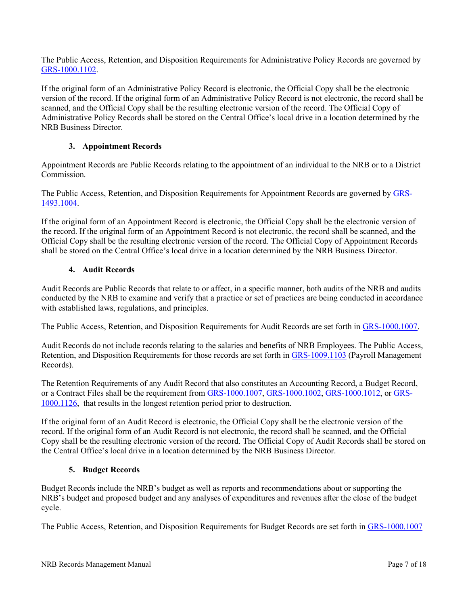The Public Access, Retention, and Disposition Requirements for Administrative Policy Records are governed by [GRS-1000.1102.](https://sos.vermont.gov/media/rztj0udv/grs-10001102_administrating.pdf)

If the original form of an Administrative Policy Record is electronic, the Official Copy shall be the electronic version of the record. If the original form of an Administrative Policy Record is not electronic, the record shall be scanned, and the Official Copy shall be the resulting electronic version of the record. The Official Copy of Administrative Policy Records shall be stored on the Central Office's local drive in a location determined by the NRB Business Director.

# **3. Appointment Records**

<span id="page-6-0"></span>Appointment Records are Public Records relating to the appointment of an individual to the NRB or to a District Commission.

The Public Access, Retention, and Disposition Requirements for Appointment Records are governed by [GRS-](https://sos.vermont.gov/media/otch5ghs/grs-14931004_appointmentrecords.pdf)[1493.1004.](https://sos.vermont.gov/media/otch5ghs/grs-14931004_appointmentrecords.pdf)

If the original form of an Appointment Record is electronic, the Official Copy shall be the electronic version of the record. If the original form of an Appointment Record is not electronic, the record shall be scanned, and the Official Copy shall be the resulting electronic version of the record. The Official Copy of Appointment Records shall be stored on the Central Office's local drive in a location determined by the NRB Business Director.

### **4. Audit Records**

<span id="page-6-1"></span>Audit Records are Public Records that relate to or affect, in a specific manner, both audits of the NRB and audits conducted by the NRB to examine and verify that a practice or set of practices are being conducted in accordance with established laws, regulations, and principles.

The Public Access, Retention, and Disposition Requirements for Audit Records are set forth in [GRS-1000.1007.](https://sos.vermont.gov/media/x0losbrt/grs-10001007_auditing.pdf)

Audit Records do not include records relating to the salaries and benefits of NRB Employees. The Public Access, Retention, and Disposition Requirements for those records are set forth in [GRS-1009.1103](https://sos.vermont.gov/media/20shnjyc/grs-10091103_payrollrecords.pdf) (Payroll Management Records).

The Retention Requirements of any Audit Record that also constitutes an Accounting Record, a Budget Record, or a Contract Files shall be the requirement from [GRS-1000.1007,](https://sos.vermont.gov/media/x0losbrt/grs-10001007_auditing.pdf) [GRS-1000.1002,](https://sos.vermont.gov/media/lpsggisr/grs-10001002_accounting.pdf) [GRS-1000.1012,](https://sos.vermont.gov/media/o2mb3bga/grs-10001012_budgetrecords.pdf) or [GRS-](https://sos.vermont.gov/media/i4rfdit2/grs-10001126_contracting.pdf)[1000.1126,](https://sos.vermont.gov/media/i4rfdit2/grs-10001126_contracting.pdf) that results in the longest retention period prior to destruction.

If the original form of an Audit Record is electronic, the Official Copy shall be the electronic version of the record. If the original form of an Audit Record is not electronic, the record shall be scanned, and the Official Copy shall be the resulting electronic version of the record. The Official Copy of Audit Records shall be stored on the Central Office's local drive in a location determined by the NRB Business Director.

### **5. Budget Records**

<span id="page-6-2"></span>Budget Records include the NRB's budget as well as reports and recommendations about or supporting the NRB's budget and proposed budget and any analyses of expenditures and revenues after the close of the budget cycle.

The Public Access, Retention, and Disposition Requirements for Budget Records are set forth in [GRS-1000.1007](https://sos.vermont.gov/media/x0losbrt/grs-10001007_auditing.pdf)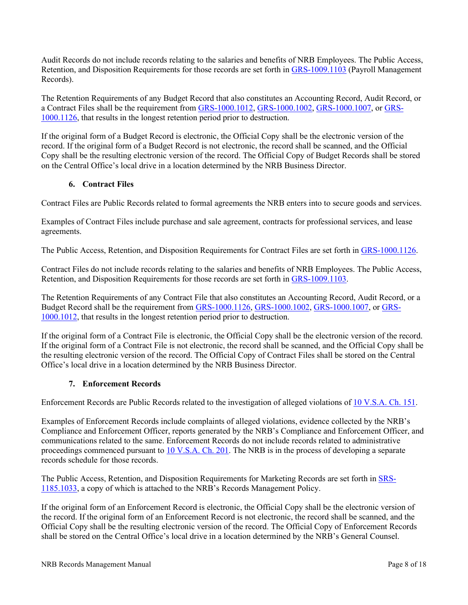Audit Records do not include records relating to the salaries and benefits of NRB Employees. The Public Access, Retention, and Disposition Requirements for those records are set forth in [GRS-1009.1103](https://sos.vermont.gov/media/20shnjyc/grs-10091103_payrollrecords.pdf) (Payroll Management Records).

The Retention Requirements of any Budget Record that also constitutes an Accounting Record, Audit Record, or a Contract Files shall be the requirement from [GRS-1000.1012,](https://sos.vermont.gov/media/o2mb3bga/grs-10001012_budgetrecords.pdf) [GRS-1000.1002,](https://sos.vermont.gov/media/lpsggisr/grs-10001002_accounting.pdf) [GRS-1000.1007,](https://sos.vermont.gov/media/x0losbrt/grs-10001007_auditing.pdf) or [GRS-](https://sos.vermont.gov/media/i4rfdit2/grs-10001126_contracting.pdf)[1000.1126,](https://sos.vermont.gov/media/i4rfdit2/grs-10001126_contracting.pdf) that results in the longest retention period prior to destruction.

If the original form of a Budget Record is electronic, the Official Copy shall be the electronic version of the record. If the original form of a Budget Record is not electronic, the record shall be scanned, and the Official Copy shall be the resulting electronic version of the record. The Official Copy of Budget Records shall be stored on the Central Office's local drive in a location determined by the NRB Business Director.

### **6. Contract Files**

<span id="page-7-0"></span>Contract Files are Public Records related to formal agreements the NRB enters into to secure goods and services.

Examples of Contract Files include purchase and sale agreement, contracts for professional services, and lease agreements.

The Public Access, Retention, and Disposition Requirements for Contract Files are set forth in [GRS-1000.1126.](https://sos.vermont.gov/media/i4rfdit2/grs-10001126_contracting.pdf)

Contract Files do not include records relating to the salaries and benefits of NRB Employees. The Public Access, Retention, and Disposition Requirements for those records are set forth in [GRS-1009.1103.](https://sos.vermont.gov/media/20shnjyc/grs-10091103_payrollrecords.pdf)

The Retention Requirements of any Contract File that also constitutes an Accounting Record, Audit Record, or a Budget Record shall be the requirement from [GRS-1000.1126,](https://sos.vermont.gov/media/i4rfdit2/grs-10001126_contracting.pdf) [GRS-1000.1002,](https://sos.vermont.gov/media/lpsggisr/grs-10001002_accounting.pdf) [GRS-1000.1007,](https://sos.vermont.gov/media/x0losbrt/grs-10001007_auditing.pdf) or [GRS-](https://sos.vermont.gov/media/o2mb3bga/grs-10001012_budgetrecords.pdf)[1000.1012,](https://sos.vermont.gov/media/o2mb3bga/grs-10001012_budgetrecords.pdf) that results in the longest retention period prior to destruction.

If the original form of a Contract File is electronic, the Official Copy shall be the electronic version of the record. If the original form of a Contract File is not electronic, the record shall be scanned, and the Official Copy shall be the resulting electronic version of the record. The Official Copy of Contract Files shall be stored on the Central Office's local drive in a location determined by the NRB Business Director.

# **7. Enforcement Records**

<span id="page-7-1"></span>Enforcement Records are Public Records related to the investigation of alleged violations of [10 V.S.A. Ch. 151.](https://legislature.vermont.gov/statutes/chapter/10/151)

Examples of Enforcement Records include complaints of alleged violations, evidence collected by the NRB's Compliance and Enforcement Officer, reports generated by the NRB's Compliance and Enforcement Officer, and communications related to the same. Enforcement Records do not include records related to administrative proceedings commenced pursuant t[o 10 V.S.A. Ch. 201.](https://legislature.vermont.gov/statutes/chapter/10/201) The NRB is in the process of developing a separate records schedule for those records.

The Public Access, Retention, and Disposition Requirements for Marketing Records are set forth in [SRS-](https://sos.vermont.gov/media/cyqnnm21/nrb_specific_record_schedule_current.pdf)[1185.1033,](https://sos.vermont.gov/media/cyqnnm21/nrb_specific_record_schedule_current.pdf) a copy of which is attached to the NRB's Records Management Policy.

If the original form of an Enforcement Record is electronic, the Official Copy shall be the electronic version of the record. If the original form of an Enforcement Record is not electronic, the record shall be scanned, and the Official Copy shall be the resulting electronic version of the record. The Official Copy of Enforcement Records shall be stored on the Central Office's local drive in a location determined by the NRB's General Counsel.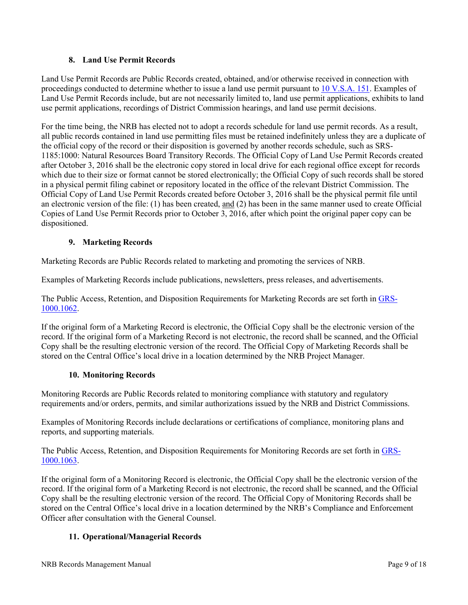# **8. Land Use Permit Records**

<span id="page-8-0"></span>Land Use Permit Records are Public Records created, obtained, and/or otherwise received in connection with proceedings conducted to determine whether to issue a land use permit pursuant to [10 V.S.A. 151.](https://legislature.vermont.gov/statutes/chapter/10/151) Examples of Land Use Permit Records include, but are not necessarily limited to, land use permit applications, exhibits to land use permit applications, recordings of District Commission hearings, and land use permit decisions.

For the time being, the NRB has elected not to adopt a records schedule for land use permit records. As a result, all public records contained in land use permitting files must be retained indefinitely unless they are a duplicate of the official copy of the record or their disposition is governed by another records schedule, such as SRS-1185:1000: Natural Resources Board Transitory Records. The Official Copy of Land Use Permit Records created after October 3, 2016 shall be the electronic copy stored in local drive for each regional office except for records which due to their size or format cannot be stored electronically; the Official Copy of such records shall be stored in a physical permit filing cabinet or repository located in the office of the relevant District Commission. The Official Copy of Land Use Permit Records created before October 3, 2016 shall be the physical permit file until an electronic version of the file: (1) has been created, and (2) has been in the same manner used to create Official Copies of Land Use Permit Records prior to October 3, 2016, after which point the original paper copy can be dispositioned.

# **9. Marketing Records**

<span id="page-8-1"></span>Marketing Records are Public Records related to marketing and promoting the services of NRB.

Examples of Marketing Records include publications, newsletters, press releases, and advertisements.

The Public Access, Retention, and Disposition Requirements for Marketing Records are set forth in [GRS-](https://sos.vermont.gov/media/ed5fglyg/grs-10001062_marketingrecords.pdf)[1000.1062.](https://sos.vermont.gov/media/ed5fglyg/grs-10001062_marketingrecords.pdf)

If the original form of a Marketing Record is electronic, the Official Copy shall be the electronic version of the record. If the original form of a Marketing Record is not electronic, the record shall be scanned, and the Official Copy shall be the resulting electronic version of the record. The Official Copy of Marketing Records shall be stored on the Central Office's local drive in a location determined by the NRB Project Manager.

### **10. Monitoring Records**

<span id="page-8-2"></span>Monitoring Records are Public Records related to monitoring compliance with statutory and regulatory requirements and/or orders, permits, and similar authorizations issued by the NRB and District Commissions.

Examples of Monitoring Records include declarations or certifications of compliance, monitoring plans and reports, and supporting materials.

The Public Access, Retention, and Disposition Requirements for Monitoring Records are set forth in [GRS-](https://sos.vermont.gov/media/bs3bgnap/grs-10001063_monitoringrecords.pdf)[1000.1063.](https://sos.vermont.gov/media/bs3bgnap/grs-10001063_monitoringrecords.pdf)

If the original form of a Monitoring Record is electronic, the Official Copy shall be the electronic version of the record. If the original form of a Marketing Record is not electronic, the record shall be scanned, and the Official Copy shall be the resulting electronic version of the record. The Official Copy of Monitoring Records shall be stored on the Central Office's local drive in a location determined by the NRB's Compliance and Enforcement Officer after consultation with the General Counsel.

# <span id="page-8-3"></span>**11. Operational/Managerial Records**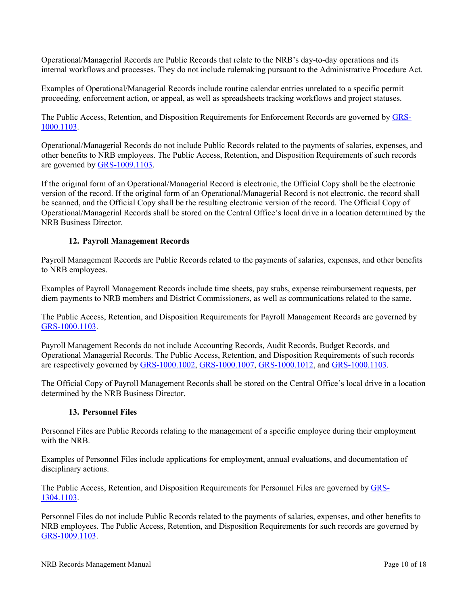Operational/Managerial Records are Public Records that relate to the NRB's day-to-day operations and its internal workflows and processes. They do not include rulemaking pursuant to the Administrative Procedure Act.

Examples of Operational/Managerial Records include routine calendar entries unrelated to a specific permit proceeding, enforcement action, or appeal, as well as spreadsheets tracking workflows and project statuses.

The Public Access, Retention, and Disposition Requirements for Enforcement Records are governed by [GRS-](https://sos.vermont.gov/media/klxll2ro/grs-10001103_managing.pdf)[1000.1103.](https://sos.vermont.gov/media/klxll2ro/grs-10001103_managing.pdf)

Operational/Managerial Records do not include Public Records related to the payments of salaries, expenses, and other benefits to NRB employees. The Public Access, Retention, and Disposition Requirements of such records are governed b[y GRS-1009.1103.](https://sos.vermont.gov/media/klxll2ro/grs-10001103_managing.pdf)

If the original form of an Operational/Managerial Record is electronic, the Official Copy shall be the electronic version of the record. If the original form of an Operational/Managerial Record is not electronic, the record shall be scanned, and the Official Copy shall be the resulting electronic version of the record. The Official Copy of Operational/Managerial Records shall be stored on the Central Office's local drive in a location determined by the NRB Business Director.

# **12. Payroll Management Records**

<span id="page-9-0"></span>Payroll Management Records are Public Records related to the payments of salaries, expenses, and other benefits to NRB employees.

Examples of Payroll Management Records include time sheets, pay stubs, expense reimbursement requests, per diem payments to NRB members and District Commissioners, as well as communications related to the same.

The Public Access, Retention, and Disposition Requirements for Payroll Management Records are governed by [GRS-1000.1103.](https://sos.vermont.gov/media/20shnjyc/grs-10091103_payrollrecords.pdf)

Payroll Management Records do not include Accounting Records, Audit Records, Budget Records, and Operational Managerial Records. The Public Access, Retention, and Disposition Requirements of such records are respectively governed by [GRS-1000.1002,](https://sos.vermont.gov/media/lpsggisr/grs-10001002_accounting.pdf) [GRS-1000.1007,](https://sos.vermont.gov/media/x0losbrt/grs-10001007_auditing.pdf) [GRS-1000.1012,](https://sos.vermont.gov/media/o2mb3bga/grs-10001012_budgetrecords.pdf) and [GRS-1000.1103.](https://sos.vermont.gov/media/klxll2ro/grs-10001103_managing.pdf)

The Official Copy of Payroll Management Records shall be stored on the Central Office's local drive in a location determined by the NRB Business Director.

### **13. Personnel Files**

<span id="page-9-1"></span>Personnel Files are Public Records relating to the management of a specific employee during their employment with the NRB.

Examples of Personnel Files include applications for employment, annual evaluations, and documentation of disciplinary actions.

The Public Access, Retention, and Disposition Requirements for Personnel Files are governed by [GRS-](https://sos.vermont.gov/media/zdka4izb/grs-13041103_managingemployees.pdf)[1304.1103.](https://sos.vermont.gov/media/zdka4izb/grs-13041103_managingemployees.pdf)

Personnel Files do not include Public Records related to the payments of salaries, expenses, and other benefits to NRB employees. The Public Access, Retention, and Disposition Requirements for such records are governed by [GRS-1009.1103.](https://sos.vermont.gov/media/20shnjyc/grs-10091103_payrollrecords.pdf)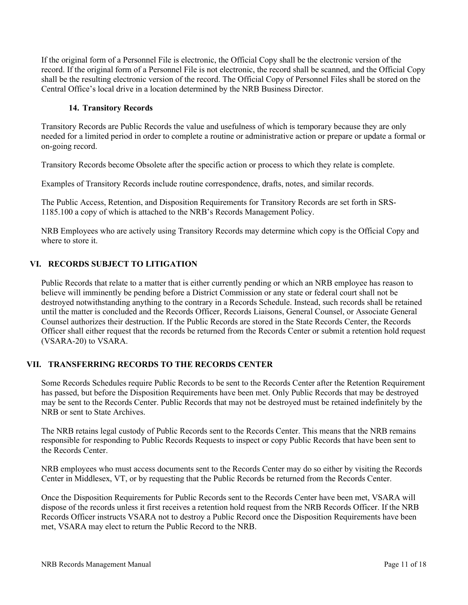If the original form of a Personnel File is electronic, the Official Copy shall be the electronic version of the record. If the original form of a Personnel File is not electronic, the record shall be scanned, and the Official Copy shall be the resulting electronic version of the record. The Official Copy of Personnel Files shall be stored on the Central Office's local drive in a location determined by the NRB Business Director.

#### **14. Transitory Records**

<span id="page-10-0"></span>Transitory Records are Public Records the value and usefulness of which is temporary because they are only needed for a limited period in order to complete a routine or administrative action or prepare or update a formal or on-going record.

Transitory Records become Obsolete after the specific action or process to which they relate is complete.

Examples of Transitory Records include routine correspondence, drafts, notes, and similar records.

The Public Access, Retention, and Disposition Requirements for Transitory Records are set forth in SRS-1185.100 a copy of which is attached to the NRB's Records Management Policy.

NRB Employees who are actively using Transitory Records may determine which copy is the Official Copy and where to store it.

### <span id="page-10-1"></span>**VI. RECORDS SUBJECT TO LITIGATION**

Public Records that relate to a matter that is either currently pending or which an NRB employee has reason to believe will imminently be pending before a District Commission or any state or federal court shall not be destroyed notwithstanding anything to the contrary in a Records Schedule. Instead, such records shall be retained until the matter is concluded and the Records Officer, Records Liaisons, General Counsel, or Associate General Counsel authorizes their destruction. If the Public Records are stored in the State Records Center, the Records Officer shall either request that the records be returned from the Records Center or submit a retention hold request (VSARA-20) to VSARA.

### <span id="page-10-2"></span>**VII. TRANSFERRING RECORDS TO THE RECORDS CENTER**

Some Records Schedules require Public Records to be sent to the Records Center after the Retention Requirement has passed, but before the Disposition Requirements have been met. Only Public Records that may be destroyed may be sent to the Records Center. Public Records that may not be destroyed must be retained indefinitely by the NRB or sent to State Archives.

The NRB retains legal custody of Public Records sent to the Records Center. This means that the NRB remains responsible for responding to Public Records Requests to inspect or copy Public Records that have been sent to the Records Center.

NRB employees who must access documents sent to the Records Center may do so either by visiting the Records Center in Middlesex, VT, or by requesting that the Public Records be returned from the Records Center.

Once the Disposition Requirements for Public Records sent to the Records Center have been met, VSARA will dispose of the records unless it first receives a retention hold request from the NRB Records Officer. If the NRB Records Officer instructs VSARA not to destroy a Public Record once the Disposition Requirements have been met, VSARA may elect to return the Public Record to the NRB.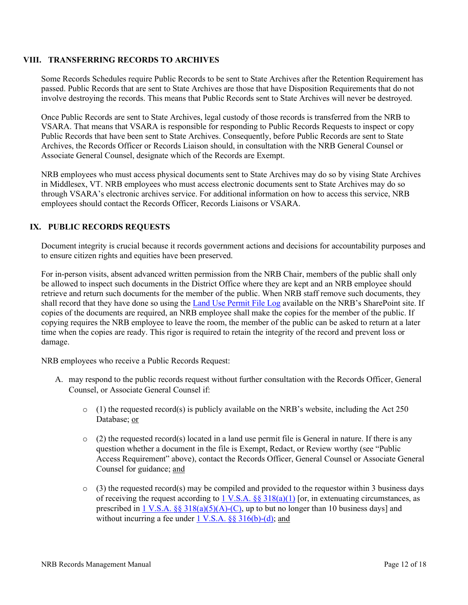#### <span id="page-11-0"></span>**VIII. TRANSFERRING RECORDS TO ARCHIVES**

Some Records Schedules require Public Records to be sent to State Archives after the Retention Requirement has passed. Public Records that are sent to State Archives are those that have Disposition Requirements that do not involve destroying the records. This means that Public Records sent to State Archives will never be destroyed.

Once Public Records are sent to State Archives, legal custody of those records is transferred from the NRB to VSARA. That means that VSARA is responsible for responding to Public Records Requests to inspect or copy Public Records that have been sent to State Archives. Consequently, before Public Records are sent to State Archives, the Records Officer or Records Liaison should, in consultation with the NRB General Counsel or Associate General Counsel, designate which of the Records are Exempt.

NRB employees who must access physical documents sent to State Archives may do so by vising State Archives in Middlesex, VT. NRB employees who must access electronic documents sent to State Archives may do so through VSARA's electronic archives service. For additional information on how to access this service, NRB employees should contact the Records Officer, Records Liaisons or VSARA.

# <span id="page-11-1"></span>**IX. PUBLIC RECORDS REQUESTS**

Document integrity is crucial because it records government actions and decisions for accountability purposes and to ensure citizen rights and equities have been preserved.

For in-person visits, absent advanced written permission from the NRB Chair, members of the public shall only be allowed to inspect such documents in the District Office where they are kept and an NRB employee should retrieve and return such documents for the member of the public. When NRB staff remove such documents, they shall record that they have done so using the [Land Use Permit File Log](https://vermontgov.sharepoint.com/:x:/r/teams/NRB/sample/administration/_layouts/15/Doc.aspx?sourcedoc=%7BF6C05A98-0A46-4F9B-BD68-7377594FE3C6%7D&file=Staff%20SharePoint%20File%20Log.xlsx&wdLOR=c944E5B07-F6BF-443F-B2F7-84F46AE31EAA&action=default&mobileredirect=true&cid=d17111b1-830b-44be-8e9e-01748cfc6501) available on the NRB's SharePoint site. If copies of the documents are required, an NRB employee shall make the copies for the member of the public. If copying requires the NRB employee to leave the room, the member of the public can be asked to return at a later time when the copies are ready. This rigor is required to retain the integrity of the record and prevent loss or damage.

NRB employees who receive a Public Records Request:

- A. may respond to the public records request without further consultation with the Records Officer, General Counsel, or Associate General Counsel if:
	- $\circ$  (1) the requested record(s) is publicly available on the NRB's website, including the Act 250 Database; or
	- $\circ$  (2) the requested record(s) located in a land use permit file is General in nature. If there is any question whether a document in the file is Exempt, Redact, or Review worthy (see "Public Access Requirement" above), contact the Records Officer, General Counsel or Associate General Counsel for guidance; and
	- $\circ$  (3) the requested record(s) may be compiled and provided to the requestor within 3 business days of receiving the request according to 1 V.S.A.  $\S$  318(a)(1) [or, in extenuating circumstances, as prescribed in 1 V.S.A.  $\S$ § 318(a)(5)(A)-(C), up to but no longer than 10 business days] and without incurring a fee under  $1 \text{ V.S.A. }$  §§ 316(b)-(d); and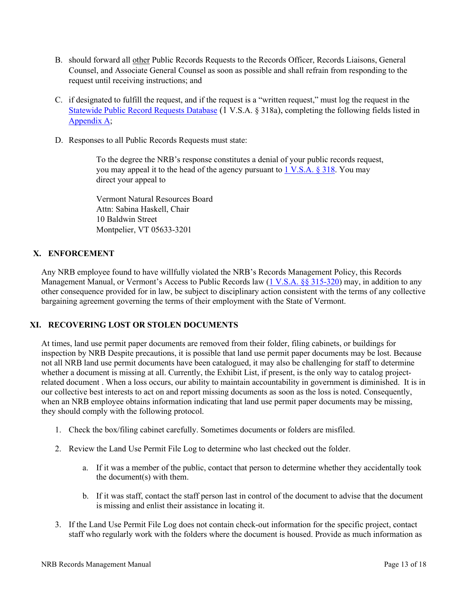- B. should forward all other Public Records Requests to the Records Officer, Records Liaisons, General Counsel, and Associate General Counsel as soon as possible and shall refrain from responding to the request until receiving instructions; and
- C. if designated to fulfill the request, and if the request is a "written request," must log the request in the [Statewide Public Record Requests Database](https://vermontgov.sharepoint.com/sites/PRR/SitePages/Home.aspx) (1 V.S.A. § 318a), completing the following fields listed in [Appendix A;](#page-14-0)
- D. Responses to all Public Records Requests must state:

To the degree the NRB's response constitutes a denial of your public records request, you may appeal it to the head of the agency pursuant to [1 V.S.A. § 318.](https://legislature.vermont.gov/statutes/section/01/005/00318) You may direct your appeal to

Vermont Natural Resources Board Attn: Sabina Haskell, Chair 10 Baldwin Street Montpelier, VT 05633-3201

# <span id="page-12-0"></span>**X. ENFORCEMENT**

Any NRB employee found to have willfully violated the NRB's Records Management Policy, this Records Management Manual, or Vermont's Access to Public Records law [\(1 V.S.A. §§ 315-320\)](https://legislature.vermont.gov/statutes/chapter/01/005) may, in addition to any other consequence provided for in law, be subject to disciplinary action consistent with the terms of any collective bargaining agreement governing the terms of their employment with the State of Vermont.

### <span id="page-12-1"></span>**XI. RECOVERING LOST OR STOLEN DOCUMENTS**

At times, land use permit paper documents are removed from their folder, filing cabinets, or buildings for inspection by NRB Despite precautions, it is possible that land use permit paper documents may be lost. Because not all NRB land use permit documents have been catalogued, it may also be challenging for staff to determine whether a document is missing at all. Currently, the Exhibit List, if present, is the only way to catalog projectrelated document . When a loss occurs, our ability to maintain accountability in government is diminished. It is in our collective best interests to act on and report missing documents as soon as the loss is noted. Consequently, when an NRB employee obtains information indicating that land use permit paper documents may be missing, they should comply with the following protocol.

- 1. Check the box/filing cabinet carefully. Sometimes documents or folders are misfiled.
- 2. Review the Land Use Permit File Log to determine who last checked out the folder.
	- a. If it was a member of the public, contact that person to determine whether they accidentally took the document(s) with them.
	- b. If it was staff, contact the staff person last in control of the document to advise that the document is missing and enlist their assistance in locating it.
- 3. If the Land Use Permit File Log does not contain check-out information for the specific project, contact staff who regularly work with the folders where the document is housed. Provide as much information as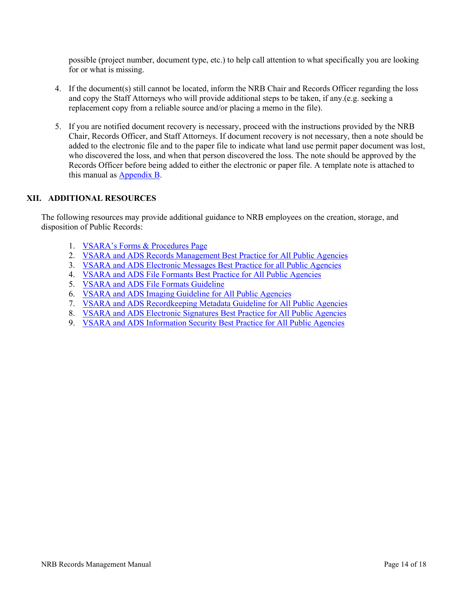possible (project number, document type, etc.) to help call attention to what specifically you are looking for or what is missing.

- 4. If the document(s) still cannot be located, inform the NRB Chair and Records Officer regarding the loss and copy the Staff Attorneys who will provide additional steps to be taken, if any.(e.g. seeking a replacement copy from a reliable source and/or placing a memo in the file).
- 5. If you are notified document recovery is necessary, proceed with the instructions provided by the NRB Chair, Records Officer, and Staff Attorneys. If document recovery is not necessary, then a note should be added to the electronic file and to the paper file to indicate what land use permit paper document was lost, who discovered the loss, and when that person discovered the loss. The note should be approved by the Records Officer before being added to either the electronic or paper file. A template note is attached to this manual as [Appendix B.](#page-16-0)

### <span id="page-13-0"></span>**XII. ADDITIONAL RESOURCES**

The following resources may provide additional guidance to NRB employees on the creation, storage, and disposition of Public Records:

- 1. [VSARA's Forms & Procedures Page](https://sos.vermont.gov/vsara/manage/enterprise-repositories-systems/state-records-center/forms-procedures/)
- 2. VSARA and ADS [Records Management Best Practice for All Public Agencies](https://sos.vermont.gov/media/raehh51w/recordsmanagementbestpractice.pdf)
- 3. VSARA and ADS [Electronic Messages Best Practice for all Public Agencies](https://sos.vermont.gov/media/rwjlor2d/electronicmessagesbestpractice_eff20090401.pdf)
- 4. VSARA and ADS [File Formants Best Practice for All Public Agencies](https://sos.vermont.gov/media/4abfomvx/fileformatsbestpractice_eff20071201.pdf)
- 5. VSARA and ADS [File Formats Guideline](https://sos.vermont.gov/media/zlep4cf1/fileformatsguideline2008.pdf)
- 6. VSARA and ADS [Imaging Guideline for All Public Agencies](https://sos.vermont.gov/media/iybbtkqi/imagingguideline2008.pdf)
- 7. VSARA and ADS [Recordkeeping Metadata Guideline for All Public Agencies](https://sos.vermont.gov/media/qgzlpdsa/vermont_recordkeepingmetadataguideline.pdf)
- 8. VSARA and ADS [Electronic Signatures Best Practice for All Public Agencies](https://sos.vermont.gov/media/ftxacfqz/electronicsignaturesbestpractice_eff20100408.pdf)
- 9. VSARA and ADS [Information Security Best Practice for All Public Agencies](https://sos.vermont.gov/media/besl3vpc/informationsecuritybestpractice_eff20090501.pdf)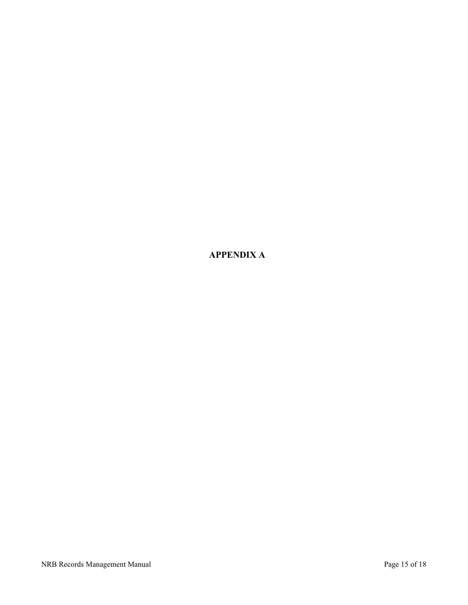<span id="page-14-0"></span>**APPENDIX A**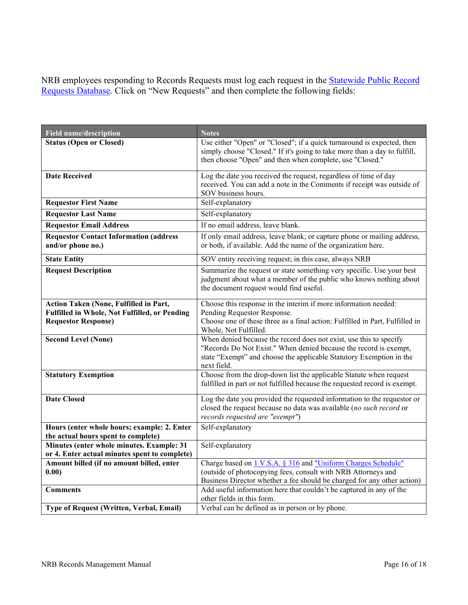NRB employees responding to Records Requests must log each request in the [Statewide Public Record](https://vermontgov.sharepoint.com/sites/PRR/SitePages/Home.aspx)  [Requests Database.](https://vermontgov.sharepoint.com/sites/PRR/SitePages/Home.aspx) Click on "New Requests" and then complete the following fields:

| <b>Field name/description</b>                                                                                         | <b>Notes</b>                                                                                                                                                                                                                  |  |
|-----------------------------------------------------------------------------------------------------------------------|-------------------------------------------------------------------------------------------------------------------------------------------------------------------------------------------------------------------------------|--|
| <b>Status (Open or Closed)</b>                                                                                        | Use either "Open" or "Closed"; if a quick turnaround is expected, then<br>simply choose "Closed." If it's going to take more than a day to fulfill,<br>then choose "Open" and then when complete, use "Closed."               |  |
| <b>Date Received</b>                                                                                                  | Log the date you received the request, regardless of time of day<br>received. You can add a note in the Comments if receipt was outside of<br>SOV business hours.                                                             |  |
| <b>Requestor First Name</b>                                                                                           | Self-explanatory                                                                                                                                                                                                              |  |
| <b>Requestor Last Name</b>                                                                                            | Self-explanatory                                                                                                                                                                                                              |  |
| <b>Requestor Email Address</b>                                                                                        | If no email address, leave blank.                                                                                                                                                                                             |  |
| <b>Requestor Contact Information (address</b><br>and/or phone no.)                                                    | If only email address, leave blank; or capture phone or mailing address,<br>or both, if available. Add the name of the organization here.                                                                                     |  |
| <b>State Entity</b>                                                                                                   | SOV entity receiving request; in this case, always NRB                                                                                                                                                                        |  |
| <b>Request Description</b>                                                                                            | Summarize the request or state something very specific. Use your best<br>judgment about what a member of the public who knows nothing about<br>the document request would find useful.                                        |  |
| Action Taken (None, Fulfilled in Part,<br>Fulfilled in Whole, Not Fulfilled, or Pending<br><b>Requestor Response)</b> | Choose this response in the interim if more information needed:<br>Pending Requestor Response.<br>Choose one of these three as a final action: Fulfilled in Part, Fulfilled in<br>Whole, Not Fulfilled.                       |  |
| <b>Second Level (None)</b>                                                                                            | When denied because the record does not exist, use this to specify<br>"Records Do Not Exist." When denied because the record is exempt,<br>state "Exempt" and choose the applicable Statutory Exemption in the<br>next field. |  |
| <b>Statutory Exemption</b>                                                                                            | Choose from the drop-down list the applicable Statute when request<br>fulfilled in part or not fulfilled because the requested record is exempt.                                                                              |  |
| <b>Date Closed</b>                                                                                                    | Log the date you provided the requested information to the requestor or<br>closed the request because no data was available (no such record or<br>records requested are "exempt")                                             |  |
| Hours (enter whole hours; example: 2. Enter                                                                           | Self-explanatory                                                                                                                                                                                                              |  |
| the actual hours spent to complete)<br>Minutes (enter whole minutes. Example: 31                                      | Self-explanatory                                                                                                                                                                                                              |  |
| or 4. Enter actual minutes spent to complete)                                                                         |                                                                                                                                                                                                                               |  |
| Amount billed (if no amount billed, enter<br>0.00)                                                                    | Charge based on 1 V.S.A. § 316 and "Uniform Charges Schedule"<br>(outside of photocopying fees, consult with NRB Attorneys and<br>Business Director whether a fee should be charged for any other action)                     |  |
| <b>Comments</b>                                                                                                       | Add useful information here that couldn't be captured in any of the<br>other fields in this form.                                                                                                                             |  |
| Type of Request (Written, Verbal, Email)                                                                              | Verbal can be defined as in person or by phone.                                                                                                                                                                               |  |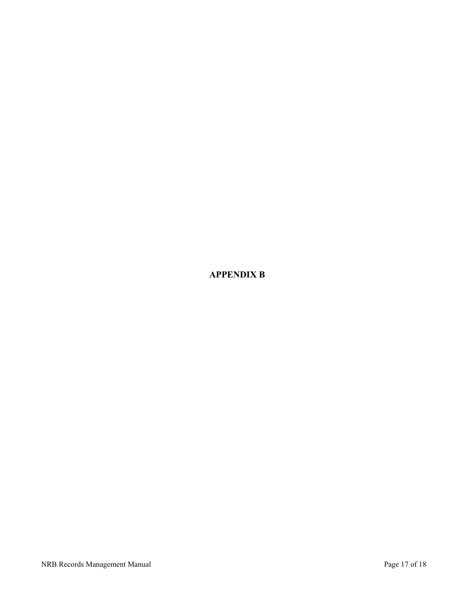<span id="page-16-0"></span>**APPENDIX B**